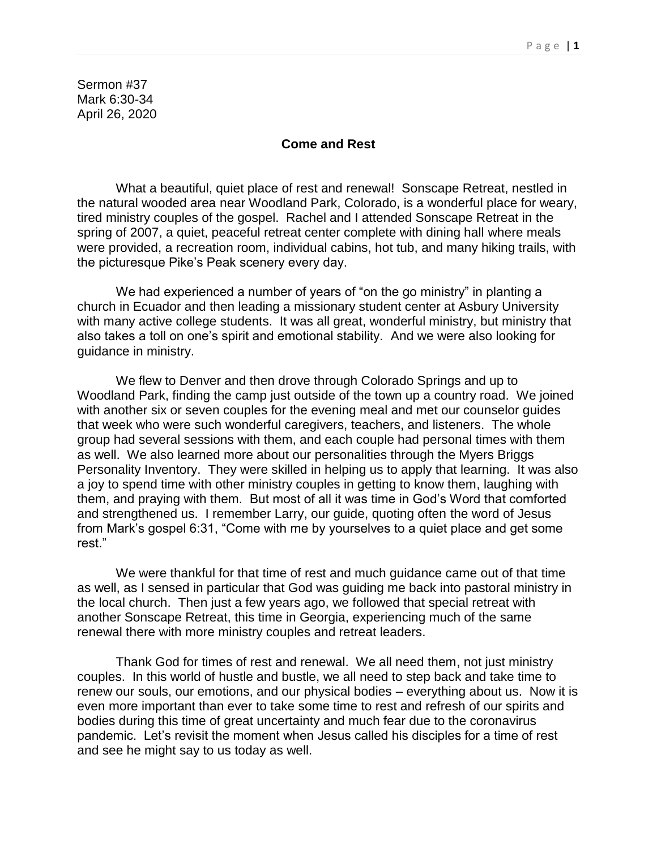Sermon #37 Mark 6:30-34 April 26, 2020

## **Come and Rest**

What a beautiful, quiet place of rest and renewal! Sonscape Retreat, nestled in the natural wooded area near Woodland Park, Colorado, is a wonderful place for weary, tired ministry couples of the gospel. Rachel and I attended Sonscape Retreat in the spring of 2007, a quiet, peaceful retreat center complete with dining hall where meals were provided, a recreation room, individual cabins, hot tub, and many hiking trails, with the picturesque Pike's Peak scenery every day.

We had experienced a number of years of "on the go ministry" in planting a church in Ecuador and then leading a missionary student center at Asbury University with many active college students. It was all great, wonderful ministry, but ministry that also takes a toll on one's spirit and emotional stability. And we were also looking for guidance in ministry.

We flew to Denver and then drove through Colorado Springs and up to Woodland Park, finding the camp just outside of the town up a country road. We joined with another six or seven couples for the evening meal and met our counselor guides that week who were such wonderful caregivers, teachers, and listeners. The whole group had several sessions with them, and each couple had personal times with them as well. We also learned more about our personalities through the Myers Briggs Personality Inventory. They were skilled in helping us to apply that learning. It was also a joy to spend time with other ministry couples in getting to know them, laughing with them, and praying with them. But most of all it was time in God's Word that comforted and strengthened us. I remember Larry, our guide, quoting often the word of Jesus from Mark's gospel 6:31, "Come with me by yourselves to a quiet place and get some rest."

We were thankful for that time of rest and much guidance came out of that time as well, as I sensed in particular that God was guiding me back into pastoral ministry in the local church. Then just a few years ago, we followed that special retreat with another Sonscape Retreat, this time in Georgia, experiencing much of the same renewal there with more ministry couples and retreat leaders.

Thank God for times of rest and renewal. We all need them, not just ministry couples. In this world of hustle and bustle, we all need to step back and take time to renew our souls, our emotions, and our physical bodies – everything about us. Now it is even more important than ever to take some time to rest and refresh of our spirits and bodies during this time of great uncertainty and much fear due to the coronavirus pandemic. Let's revisit the moment when Jesus called his disciples for a time of rest and see he might say to us today as well.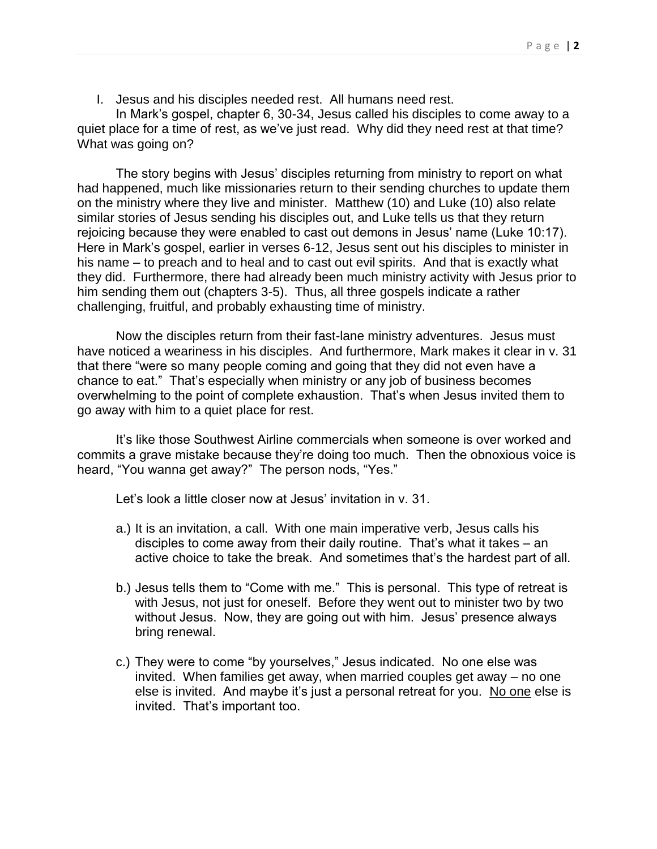I. Jesus and his disciples needed rest. All humans need rest.

In Mark's gospel, chapter 6, 30-34, Jesus called his disciples to come away to a quiet place for a time of rest, as we've just read. Why did they need rest at that time? What was going on?

The story begins with Jesus' disciples returning from ministry to report on what had happened, much like missionaries return to their sending churches to update them on the ministry where they live and minister. Matthew (10) and Luke (10) also relate similar stories of Jesus sending his disciples out, and Luke tells us that they return rejoicing because they were enabled to cast out demons in Jesus' name (Luke 10:17). Here in Mark's gospel, earlier in verses 6-12, Jesus sent out his disciples to minister in his name – to preach and to heal and to cast out evil spirits. And that is exactly what they did. Furthermore, there had already been much ministry activity with Jesus prior to him sending them out (chapters 3-5). Thus, all three gospels indicate a rather challenging, fruitful, and probably exhausting time of ministry.

Now the disciples return from their fast-lane ministry adventures. Jesus must have noticed a weariness in his disciples. And furthermore, Mark makes it clear in v. 31 that there "were so many people coming and going that they did not even have a chance to eat." That's especially when ministry or any job of business becomes overwhelming to the point of complete exhaustion. That's when Jesus invited them to go away with him to a quiet place for rest.

It's like those Southwest Airline commercials when someone is over worked and commits a grave mistake because they're doing too much. Then the obnoxious voice is heard, "You wanna get away?" The person nods, "Yes."

Let's look a little closer now at Jesus' invitation in v. 31.

- a.) It is an invitation, a call. With one main imperative verb, Jesus calls his disciples to come away from their daily routine. That's what it takes – an active choice to take the break. And sometimes that's the hardest part of all.
- b.) Jesus tells them to "Come with me." This is personal. This type of retreat is with Jesus, not just for oneself. Before they went out to minister two by two without Jesus. Now, they are going out with him. Jesus' presence always bring renewal.
- c.) They were to come "by yourselves," Jesus indicated. No one else was invited. When families get away, when married couples get away – no one else is invited. And maybe it's just a personal retreat for you. No one else is invited. That's important too.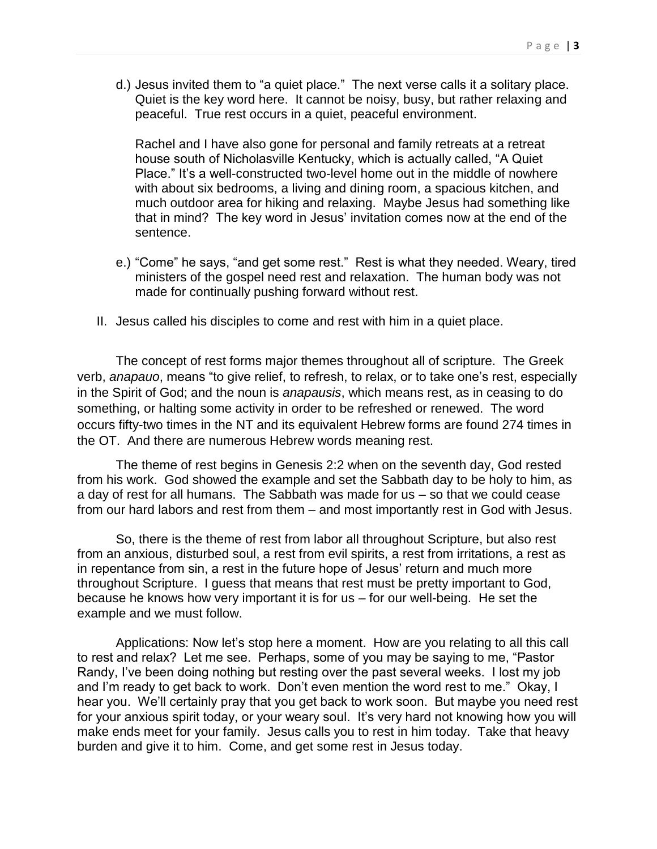d.) Jesus invited them to "a quiet place." The next verse calls it a solitary place. Quiet is the key word here. It cannot be noisy, busy, but rather relaxing and peaceful. True rest occurs in a quiet, peaceful environment.

Rachel and I have also gone for personal and family retreats at a retreat house south of Nicholasville Kentucky, which is actually called, "A Quiet Place." It's a well-constructed two-level home out in the middle of nowhere with about six bedrooms, a living and dining room, a spacious kitchen, and much outdoor area for hiking and relaxing. Maybe Jesus had something like that in mind? The key word in Jesus' invitation comes now at the end of the sentence.

- e.) "Come" he says, "and get some rest." Rest is what they needed. Weary, tired ministers of the gospel need rest and relaxation. The human body was not made for continually pushing forward without rest.
- II. Jesus called his disciples to come and rest with him in a quiet place.

The concept of rest forms major themes throughout all of scripture. The Greek verb, *anapauo*, means "to give relief, to refresh, to relax, or to take one's rest, especially in the Spirit of God; and the noun is *anapausis*, which means rest, as in ceasing to do something, or halting some activity in order to be refreshed or renewed. The word occurs fifty-two times in the NT and its equivalent Hebrew forms are found 274 times in the OT. And there are numerous Hebrew words meaning rest.

The theme of rest begins in Genesis 2:2 when on the seventh day, God rested from his work. God showed the example and set the Sabbath day to be holy to him, as a day of rest for all humans. The Sabbath was made for us – so that we could cease from our hard labors and rest from them – and most importantly rest in God with Jesus.

So, there is the theme of rest from labor all throughout Scripture, but also rest from an anxious, disturbed soul, a rest from evil spirits, a rest from irritations, a rest as in repentance from sin, a rest in the future hope of Jesus' return and much more throughout Scripture. I guess that means that rest must be pretty important to God, because he knows how very important it is for us – for our well-being. He set the example and we must follow.

Applications: Now let's stop here a moment. How are you relating to all this call to rest and relax? Let me see. Perhaps, some of you may be saying to me, "Pastor Randy, I've been doing nothing but resting over the past several weeks. I lost my job and I'm ready to get back to work. Don't even mention the word rest to me." Okay, I hear you. We'll certainly pray that you get back to work soon. But maybe you need rest for your anxious spirit today, or your weary soul. It's very hard not knowing how you will make ends meet for your family. Jesus calls you to rest in him today. Take that heavy burden and give it to him. Come, and get some rest in Jesus today.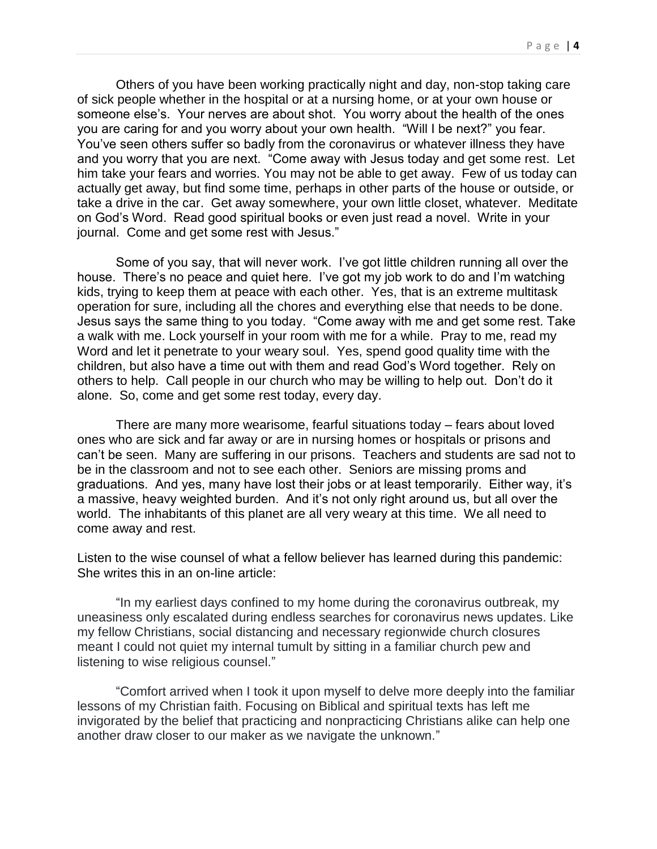Others of you have been working practically night and day, non-stop taking care of sick people whether in the hospital or at a nursing home, or at your own house or someone else's. Your nerves are about shot. You worry about the health of the ones you are caring for and you worry about your own health. "Will I be next?" you fear. You've seen others suffer so badly from the coronavirus or whatever illness they have and you worry that you are next. "Come away with Jesus today and get some rest. Let him take your fears and worries. You may not be able to get away. Few of us today can actually get away, but find some time, perhaps in other parts of the house or outside, or take a drive in the car. Get away somewhere, your own little closet, whatever. Meditate on God's Word. Read good spiritual books or even just read a novel. Write in your journal. Come and get some rest with Jesus."

Some of you say, that will never work. I've got little children running all over the house. There's no peace and quiet here. I've got my job work to do and I'm watching kids, trying to keep them at peace with each other. Yes, that is an extreme multitask operation for sure, including all the chores and everything else that needs to be done. Jesus says the same thing to you today. "Come away with me and get some rest. Take a walk with me. Lock yourself in your room with me for a while. Pray to me, read my Word and let it penetrate to your weary soul. Yes, spend good quality time with the children, but also have a time out with them and read God's Word together. Rely on others to help. Call people in our church who may be willing to help out. Don't do it alone. So, come and get some rest today, every day.

There are many more wearisome, fearful situations today – fears about loved ones who are sick and far away or are in nursing homes or hospitals or prisons and can't be seen. Many are suffering in our prisons. Teachers and students are sad not to be in the classroom and not to see each other. Seniors are missing proms and graduations. And yes, many have lost their jobs or at least temporarily. Either way, it's a massive, heavy weighted burden. And it's not only right around us, but all over the world. The inhabitants of this planet are all very weary at this time. We all need to come away and rest.

Listen to the wise counsel of what a fellow believer has learned during this pandemic: She writes this in an on-line article:

"In my earliest days confined to my home during the coronavirus outbreak, my uneasiness only escalated during endless searches for coronavirus news updates. Like my fellow Christians, social distancing and necessary regionwide church closures meant I could not quiet my internal tumult by sitting in a familiar church pew and listening to wise religious counsel."

"Comfort arrived when I took it upon myself to delve more deeply into the familiar lessons of my Christian faith. Focusing on Biblical and spiritual texts has left me invigorated by the belief that practicing and nonpracticing Christians alike can help one another draw closer to our maker as we navigate the unknown."